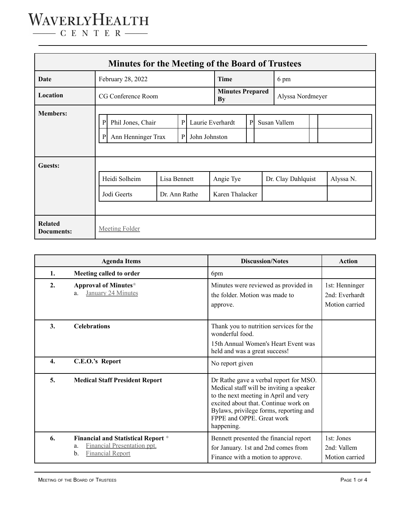| <b>Minutes for the Meeting of the Board of Trustees</b> |                                                                                                    |                               |  |                                      |                              |                  |              |                    |  |           |  |
|---------------------------------------------------------|----------------------------------------------------------------------------------------------------|-------------------------------|--|--------------------------------------|------------------------------|------------------|--------------|--------------------|--|-----------|--|
| Date                                                    | February 28, 2022                                                                                  |                               |  | <b>Time</b>                          |                              | 6 pm             |              |                    |  |           |  |
| Location                                                | CG Conference Room                                                                                 |                               |  | <b>Minutes Prepared</b><br><b>By</b> |                              | Alyssa Nordmeyer |              |                    |  |           |  |
| <b>Members:</b>                                         | Phil Jones, Chair<br>P<br>$\mathbf{P}$<br>Ann Henninger Trax<br>$\mathbf{P}$<br>John Johnston<br>P |                               |  | Laurie Everhardt                     | P                            |                  | Susan Vallem |                    |  |           |  |
| Guests:                                                 | Heidi Solheim<br>Jodi Geerts                                                                       | Lisa Bennett<br>Dr. Ann Rathe |  |                                      | Angie Tye<br>Karen Thalacker |                  |              | Dr. Clay Dahlquist |  | Alyssa N. |  |
| <b>Related</b><br>Documents:                            | <b>Meeting Folder</b>                                                                              |                               |  |                                      |                              |                  |              |                    |  |           |  |

|    | <b>Agenda Items</b>                                                                                                    | <b>Discussion/Notes</b>                                                                                                                                                                                                                                  | Action                                             |
|----|------------------------------------------------------------------------------------------------------------------------|----------------------------------------------------------------------------------------------------------------------------------------------------------------------------------------------------------------------------------------------------------|----------------------------------------------------|
| 1. | Meeting called to order                                                                                                | 6pm                                                                                                                                                                                                                                                      |                                                    |
| 2. | Approval of Minutes*<br>January 24 Minutes<br>a.                                                                       | Minutes were reviewed as provided in<br>the folder. Motion was made to<br>approve.                                                                                                                                                                       | 1st: Henninger<br>2nd: Everhardt<br>Motion carried |
| 3. | <b>Celebrations</b>                                                                                                    | Thank you to nutrition services for the<br>wonderful food.<br>15th Annual Women's Heart Event was<br>held and was a great success!                                                                                                                       |                                                    |
| 4. | C.E.O.'s Report                                                                                                        | No report given                                                                                                                                                                                                                                          |                                                    |
| 5. | <b>Medical Staff President Report</b>                                                                                  | Dr Rathe gave a verbal report for MSO.<br>Medical staff will be inviting a speaker<br>to the next meeting in April and very<br>excited about that. Continue work on<br>Bylaws, privilege forms, reporting and<br>FPPE and OPPE. Great work<br>happening. |                                                    |
| 6. | <b>Financial and Statistical Report *</b><br><b>Financial Presentation ppt.</b><br>a.<br><b>Financial Report</b><br>b. | Bennett presented the financial report<br>for January. 1st and 2nd comes from<br>Finance with a motion to approve.                                                                                                                                       | 1st: Jones<br>2nd: Vallem<br>Motion carried        |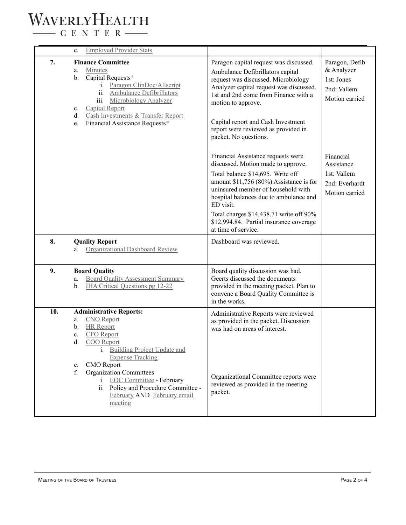## WAVERLYHEALTH

 $\begin{tabular}{c} \quad \quad \textbf{C} \textbf{E} \textbf{N} \textbf{T} \textbf{E} \textbf{R} \end{tabular}$ 

|     | <b>Employed Provider Stats</b><br>$\mathbf{c}$ .                                                                                                                                                                                                                                                                                                                                                   |                                                                                                                                                                                                                                                                                                                                             |                                                                             |
|-----|----------------------------------------------------------------------------------------------------------------------------------------------------------------------------------------------------------------------------------------------------------------------------------------------------------------------------------------------------------------------------------------------------|---------------------------------------------------------------------------------------------------------------------------------------------------------------------------------------------------------------------------------------------------------------------------------------------------------------------------------------------|-----------------------------------------------------------------------------|
| 7.  | <b>Finance Committee</b><br>Minutes<br>a.<br>Capital Requests*<br>b.<br>i. Paragon ClinDoc/Allscript<br>ii.<br>Ambulance Defibrillators<br>iii.<br>Microbiology Analyzer<br><b>Capital Report</b><br>$c_{\cdot}$<br>Cash Investments & Transfer Report<br>d.<br>Financial Assistance Requests*<br>e.                                                                                               | Paragon capital request was discussed.<br>Ambulance Defibrillators capital<br>request was discussed. Microbiology<br>Analyzer capital request was discussed.<br>1st and 2nd come from Finance with a<br>motion to approve.<br>Capital report and Cash Investment<br>report were reviewed as provided in<br>packet. No questions.            | Paragon, Defib<br>& Analyzer<br>1st: Jones<br>2nd: Vallem<br>Motion carried |
|     |                                                                                                                                                                                                                                                                                                                                                                                                    | Financial Assistance requests were<br>discussed. Motion made to approve.<br>Total balance \$14,695. Write off<br>amount \$11,756 (80%) Assistance is for<br>uninsured member of household with<br>hospital balances due to ambulance and<br>ED visit.<br>Total charges \$14,438.71 write off 90%<br>\$12,994.84. Partial insurance coverage | Financial<br>Assistance<br>1st: Vallem<br>2nd: Everhardt<br>Motion carried  |
|     |                                                                                                                                                                                                                                                                                                                                                                                                    | at time of service.                                                                                                                                                                                                                                                                                                                         |                                                                             |
| 8.  | <b>Quality Report</b><br>Organizational Dashboard Review<br>a.                                                                                                                                                                                                                                                                                                                                     | Dashboard was reviewed.                                                                                                                                                                                                                                                                                                                     |                                                                             |
| 9.  | <b>Board Quality</b><br><b>Board Quality Assessment Summary</b><br>a.<br><b>IHA Critical Questions pg 12-22</b><br>b.                                                                                                                                                                                                                                                                              | Board quality discussion was had.<br>Geerts discussed the documents<br>provided in the meeting packet. Plan to<br>convene a Board Quality Committee is<br>in the works.                                                                                                                                                                     |                                                                             |
| 10. | <b>Administrative Reports:</b><br><b>CNO</b> Report<br>a.<br><b>HR</b> Report<br>b.<br><b>CFO</b> Report<br>c.<br>d.<br>COO Report<br><b>Building Project Update and</b><br>$\mathbf{1}$ .<br><b>Expense Tracking</b><br><b>CMO</b> Report<br>e.<br>Organization Committees<br>f.<br>i. EOC Committee - February<br>ii. Policy and Procedure Committee -<br>February AND February email<br>meeting | Administrative Reports were reviewed<br>as provided in the packet. Discussion<br>was had on areas of interest.<br>Organizational Committee reports were<br>reviewed as provided in the meeting<br>packet.                                                                                                                                   |                                                                             |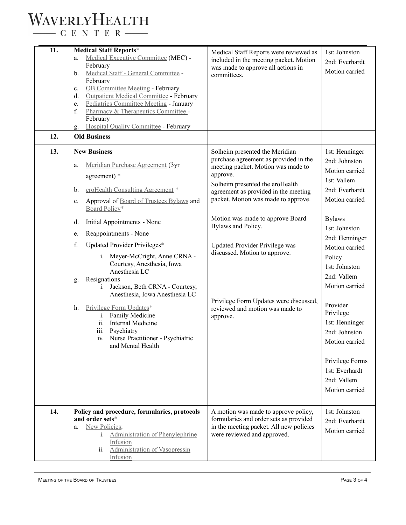## WAVERLYHEALTH

 $\begin{tabular}{c} \quad \quad \textbf{C} \quad E \quad N \quad T \quad E \quad R \end{tabular}$ 

| 11. |             | <b>Medical Staff Reports*</b><br>Medical Executive Committee (MEC) -         | Medical Staff Reports were reviewed as                                                | 1st: Johnston                 |
|-----|-------------|------------------------------------------------------------------------------|---------------------------------------------------------------------------------------|-------------------------------|
|     | a.          | February                                                                     | included in the meeting packet. Motion<br>was made to approve all actions in          | 2nd: Everhardt                |
|     | b.          | Medical Staff - General Committee -                                          | committees.                                                                           | Motion carried                |
|     |             | February                                                                     |                                                                                       |                               |
|     | $c_{\cdot}$ | <b>OB Committee Meeting - February</b>                                       |                                                                                       |                               |
|     | d.          | Outpatient Medical Committee - February                                      |                                                                                       |                               |
|     | e.<br>f.    | Pediatrics Committee Meeting - January<br>Pharmacy & Therapeutics Committee- |                                                                                       |                               |
|     |             | February                                                                     |                                                                                       |                               |
|     | g.          | Hospital Quality Committee - February                                        |                                                                                       |                               |
| 12. |             | <b>Old Business</b>                                                          |                                                                                       |                               |
| 13. |             | <b>New Business</b>                                                          | Solheim presented the Meridian                                                        | 1st: Henninger                |
|     | a.          | Meridian Purchase Agreement (3yr                                             | purchase agreement as provided in the<br>meeting packet. Motion was made to           | 2nd: Johnston                 |
|     |             | agreement) $*$                                                               | approve.                                                                              | Motion carried<br>1st: Vallem |
|     | b.          | eroHealth Consulting Agreement *                                             | Solheim presented the eroHealth<br>agreement as provided in the meeting               | 2nd: Everhardt                |
|     | $c_{\cdot}$ | Approval of Board of Trustees Bylaws and<br>Board Policy*                    | packet. Motion was made to approve.                                                   | Motion carried                |
|     | d.          | Initial Appointments - None                                                  | Motion was made to approve Board<br>Bylaws and Policy.                                | <b>Bylaws</b>                 |
|     | e.          | Reappointments - None                                                        |                                                                                       | 1st: Johnston                 |
|     | f.          | Updated Provider Privileges*                                                 | Updated Provider Privilege was                                                        | 2nd: Henninger                |
|     |             |                                                                              | discussed. Motion to approve.                                                         | Motion carried                |
|     |             | Meyer-McCright, Anne CRNA -<br>i.<br>Courtesy, Anesthesia, Iowa              |                                                                                       | Policy                        |
|     |             | Anesthesia LC                                                                |                                                                                       | 1st: Johnston                 |
|     | g.          | Resignations                                                                 |                                                                                       | 2nd: Vallem                   |
|     |             | i. Jackson, Beth CRNA - Courtesy,<br>Anesthesia, Iowa Anesthesia LC          |                                                                                       | Motion carried                |
|     | h.          | Privilege Form Updates*<br>i. Family Medicine                                | Privilege Form Updates were discussed,<br>reviewed and motion was made to<br>approve. | Provider<br>Privilege         |
|     |             | Internal Medicine<br>ii.                                                     |                                                                                       | 1st: Henninger                |
|     |             | iii.<br>Psychiatry<br>iv. Nurse Practitioner - Psychiatric                   |                                                                                       | 2nd: Johnston                 |
|     |             | and Mental Health                                                            |                                                                                       | Motion carried                |
|     |             |                                                                              |                                                                                       | Privilege Forms               |
|     |             |                                                                              |                                                                                       | 1st: Everhardt                |
|     |             |                                                                              |                                                                                       | 2nd: Vallem                   |
|     |             |                                                                              |                                                                                       | Motion carried                |
|     |             |                                                                              |                                                                                       |                               |
| 14. |             | Policy and procedure, formularies, protocols                                 | A motion was made to approve policy,                                                  | 1st: Johnston                 |
|     |             | and order sets*                                                              | formularies and order sets as provided                                                | 2nd: Everhardt                |
|     | a.          | New Policies:                                                                | in the meeting packet. All new policies                                               | Motion carried                |
|     |             | i. Administration of Phenylephrine<br>Infusion                               | were reviewed and approved.                                                           |                               |
|     |             | Administration of Vasopressin<br>$\overline{\mathbf{u}}$ .                   |                                                                                       |                               |
|     |             | Infusion                                                                     |                                                                                       |                               |